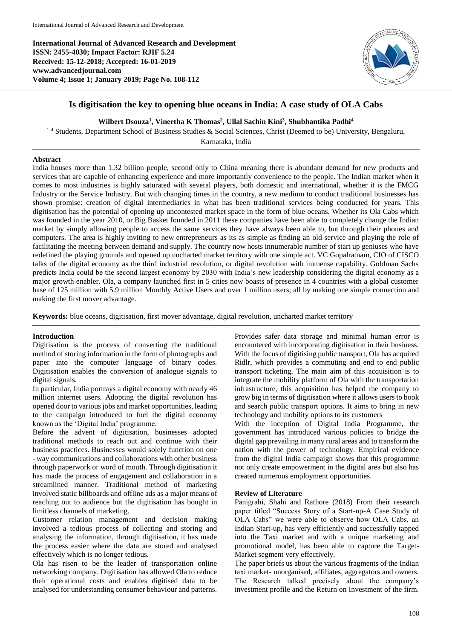**International Journal of Advanced Research and Development ISSN: 2455-4030; Impact Factor: RJIF 5.24 Received: 15-12-2018; Accepted: 16-01-2019 www.advancedjournal.com Volume 4; Issue 1; January 2019; Page No. 108-112**



# **Is digitisation the key to opening blue oceans in India: A case study of OLA Cabs**

## **Wilbert Dsouza<sup>1</sup> , Vineetha K Thomas<sup>2</sup> , Ullal Sachin Kini<sup>3</sup> , Shubhantika Padhi<sup>4</sup>**

<sup>1-4</sup> Students, Department School of Business Studies & Social Sciences, Christ (Deemed to be) University, Bengaluru,

Karnataka, India

## **Abstract**

India houses more than 1.32 billion people, second only to China meaning there is abundant demand for new products and services that are capable of enhancing experience and more importantly convenience to the people. The Indian market when it comes to most industries is highly saturated with several players, both domestic and international, whether it is the FMCG Industry or the Service Industry. But with changing times in the country, a new medium to conduct traditional businesses has shown promise: creation of digital intermediaries in what has been traditional services being conducted for years. This digitisation has the potential of opening up uncontested market space in the form of blue oceans. Whether its Ola Cabs which was founded in the year 2010, or Big Basket founded in 2011 these companies have been able to completely change the Indian market by simply allowing people to access the same services they have always been able to, but through their phones and computers. The area is highly inviting to new entrepreneurs as its as simple as finding an old service and playing the role of facilitating the meeting between demand and supply. The country now hosts innumerable number of start up geniuses who have redefined the playing grounds and opened up uncharted market territory with one simple act. VC Gopalratnam, CIO of CISCO talks of the digital economy as the third industrial revolution, or digital revolution with immense capability. Goldman Sachs predicts India could be the second largest economy by 2030 with India's new leadership considering the digital economy as a major growth enabler. Ola, a company launched first in 5 cities now boasts of presence in 4 countries with a global customer base of 125 million with 5.9 million Monthly Active Users and over 1 million users; all by making one simple connection and making the first mover advantage.

**Keywords:** blue oceans, digitisation, first mover advantage, digital revolution, uncharted market territory

### **Introduction**

Digitisation is the process of converting the traditional method of storing information in the form of photographs and paper into the computer language of binary codes. Digitisation enables the conversion of analogue signals to digital signals.

In particular, India portrays a digital economy with nearly 46 million internet users. Adopting the digital revolution has opened door to various jobs and market opportunities, leading to the campaign introduced to fuel the digital economy known as the 'Digital India' programme.

Before the advent of digitisation, businesses adopted traditional methods to reach out and continue with their business practices. Businesses would solely function on one - way communications and collaborations with other business through paperwork or word of mouth. Through digitisation it has made the process of engagement and collaboration in a streamlined manner. Traditional method of marketing involved static billboards and offline ads as a major means of reaching out to audience but the digitisation has bought in limitless channels of marketing.

Customer relation management and decision making involved a tedious process of collecting and storing and analysing the information, through digitisation, it has made the process easier where the data are stored and analysed effectively which is no longer tedious.

Ola has risen to be the leader of transportation online networking company. Digitisation has allowed Ola to reduce their operational costs and enables digitised data to be analysed for understanding consumer behaviour and patterns.

Provides safer data storage and minimal human error is encountered with incorporating digitisation in their business. With the focus of digitising public transport, Ola has acquired Ridlr, which provides a commuting and end to end public transport ticketing. The main aim of this acquisition is to integrate the mobility platform of Ola with the transportation infrastructure, this acquisition has helped the company to grow big in terms of digitisation where it allows users to book and search public transport options. It aims to bring in new technology and mobility options to its customers

With the inception of Digital India Programme, the government has introduced various policies to bridge the digital gap prevailing in many rural areas and to transform the nation with the power of technology. Empirical evidence from the digital India campaign shows that this programme not only create empowerment in the digital area but also has created numerous employment opportunities.

#### **Review of Literature**

Panigrahi, Shahi and Rathore (2018) From their research paper titled "Success Story of a Start-up-A Case Study of OLA Cabs" we were able to observe how OLA Cabs, an Indian Start-up, has very efficiently and successfully tapped into the Taxi market and with a unique marketing and promotional model, has been able to capture the Target-Market segment very effectively.

The paper briefs us about the various fragments of the Indian taxi market- unorganised, affiliates, aggregators and owners. The Research talked precisely about the company's investment profile and the Return on Investment of the firm.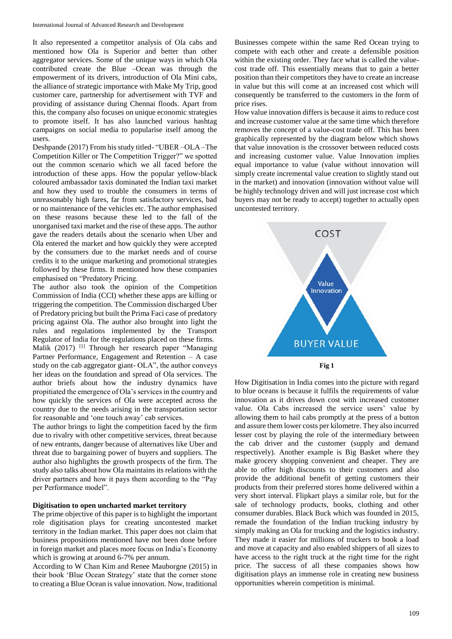It also represented a competitor analysis of Ola cabs and mentioned how Ola is Superior and better than other aggregator services. Some of the unique ways in which Ola contributed create the Blue –Ocean was through the empowerment of its drivers, introduction of Ola Mini cabs, the alliance of strategic importance with Make My Trip, good customer care, partnership for advertisement with TVF and providing of assistance during Chennai floods. Apart from this, the company also focuses on unique economic strategies to promote itself. It has also launched various hashtag campaigns on social media to popularise itself among the users.

Deshpande (2017) From his study titled- "UBER –OLA –The Competition Killer or The Competition Trigger?" we spotted out the common scenario which we all faced before the introduction of these apps. How the popular yellow-black coloured ambassador taxis dominated the Indian taxi market and how they used to trouble the consumers in terms of unreasonably high fares, far from satisfactory services, bad or no maintenance of the vehicles etc. The author emphasised on these reasons because these led to the fall of the unorganised taxi market and the rise of these apps. The author gave the readers details about the scenario when Uber and Ola entered the market and how quickly they were accepted by the consumers due to the market needs and of course credits it to the unique marketing and promotional strategies followed by these firms. It mentioned how these companies emphasised on "Predatory Pricing.

The author also took the opinion of the Competition Commission of India (CCI) whether these apps are killing or triggering the competition. The Commission discharged Uber of Predatory pricing but built the Prima Faci case of predatory pricing against Ola. The author also brought into light the rules and regulations implemented by the Transport Regulator of India for the regulations placed on these firms. Malik (2017) [1] Through her research paper "Managing Partner Performance, Engagement and Retention – A case study on the cab aggregator giant- OLA", the author conveys her ideas on the foundation and spread of Ola services. The author briefs about how the industry dynamics have propitiated the emergence of Ola's services in the country and how quickly the services of Ola were accepted across the country due to the needs arising in the transportation sector for reasonable and 'one touch away' cab services.

The author brings to light the competition faced by the firm due to rivalry with other competitive services, threat because of new entrants, danger because of alternatives like Uber and threat due to bargaining power of buyers and suppliers. The author also highlights the growth prospects of the firm. The study also talks about how Ola maintains its relations with the driver partners and how it pays them according to the "Pay per Performance model".

#### **Digitisation to open uncharted market territory**

The prime objective of this paper is to highlight the important role digitisation plays for creating uncontested market territory in the Indian market. This paper does not claim that business propositions mentioned have not been done before in foreign market and places more focus on India's Economy which is growing at around 6-7% per annum.

According to W Chan Kim and Renee Mauborgne (2015) in their book 'Blue Ocean Strategy' state that the corner stone to creating a Blue Ocean is value innovation. Now, traditional

Businesses compete within the same Red Ocean trying to compete with each other and create a defensible position within the existing order. They face what is called the valuecost trade off. This essentially means that to gain a better position than their competitors they have to create an increase in value but this will come at an increased cost which will consequently be transferred to the customers in the form of price rises.

How value innovation differs is because it aims to reduce cost and increase customer value at the same time which therefore removes the concept of a value-cost trade off. This has been graphically represented by the diagram below which shows that value innovation is the crossover between reduced costs and increasing customer value. Value Innovation implies equal importance to value (value without innovation will simply create incremental value creation to slightly stand out in the market) and innovation (innovation without value will be highly technology driven and will just increase cost which buyers may not be ready to accept) together to actually open uncontested territory.



How Digitisation in India comes into the picture with regard to blue oceans is because it fulfils the requirements of value innovation as it drives down cost with increased customer value. Ola Cabs increased the service users' value by allowing them to hail cabs promptly at the press of a button and assure them lower costs per kilometre. They also incurred lesser cost by playing the role of the intermediary between the cab driver and the customer (supply and demand respectively). Another example is Big Basket where they make grocery shopping convenient and cheaper. They are able to offer high discounts to their customers and also provide the additional benefit of getting customers their products from their preferred stores home delivered within a very short interval. Flipkart plays a similar role, but for the sale of technology products, books, clothing and other consumer durables. Black Buck which was founded in 2015, remade the foundation of the Indian trucking industry by simply making an Ola for trucking and the logistics industry. They made it easier for millions of truckers to book a load and move at capacity and also enabled shippers of all sizes to have access to the right truck at the right time for the right price. The success of all these companies shows how digitisation plays an immense role in creating new business opportunities wherein competition is minimal.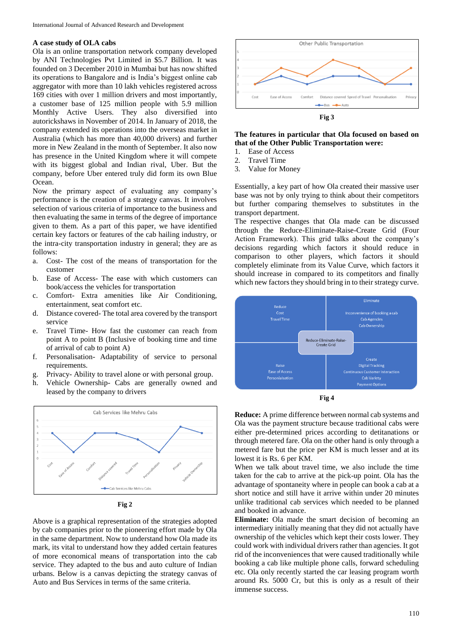#### **A case study of OLA cabs**

Ola is an online transportation network company developed by ANI Technologies Pvt Limited in \$5.7 Billion. It was founded on 3 December 2010 in Mumbai but has now shifted its operations to Bangalore and is India's biggest online cab aggregator with more than 10 lakh vehicles registered across 169 cities with over 1 million drivers and most importantly, a customer base of 125 million people with 5.9 million Monthly Active Users. They also diversified into autorickshaws in November of 2014. In January of 2018, the company extended its operations into the overseas market in Australia (which has more than 40,000 drivers) and further more in New Zealand in the month of September. It also now has presence in the United Kingdom where it will compete with its biggest global and Indian rival, Uber. But the company, before Uber entered truly did form its own Blue Ocean.

Now the primary aspect of evaluating any company's performance is the creation of a strategy canvas. It involves selection of various criteria of importance to the business and then evaluating the same in terms of the degree of importance given to them. As a part of this paper, we have identified certain key factors or features of the cab hailing industry, or the intra-city transportation industry in general; they are as follows:

- a. Cost- The cost of the means of transportation for the customer
- b. Ease of Access- The ease with which customers can book/access the vehicles for transportation
- c. Comfort- Extra amenities like Air Conditioning, entertainment, seat comfort etc.
- d. Distance covered- The total area covered by the transport service
- e. Travel Time- How fast the customer can reach from point A to point B (Inclusive of booking time and time of arrival of cab to point A)
- f. Personalisation- Adaptability of service to personal requirements.
- g. Privacy- Ability to travel alone or with personal group.
- h. Vehicle Ownership- Cabs are generally owned and leased by the company to drivers



**Fig 2**

Above is a graphical representation of the strategies adopted by cab companies prior to the pioneering effort made by Ola in the same department. Now to understand how Ola made its mark, its vital to understand how they added certain features of more economical means of transportation into the cab service. They adapted to the bus and auto culture of Indian urbans. Below is a canvas depicting the strategy canvas of Auto and Bus Services in terms of the same criteria.



## **The features in particular that Ola focused on based on that of the Other Public Transportation were:**

- 1. Ease of Access
- 2. Travel Time
- 3. Value for Money

Essentially, a key part of how Ola created their massive user base was not by only trying to think about their competitors but further comparing themselves to substitutes in the transport department.

The respective changes that Ola made can be discussed through the Reduce-Eliminate-Raise-Create Grid (Four Action Framework). This grid talks about the company's decisions regarding which factors it should reduce in comparison to other players, which factors it should completely eliminate from its Value Curve, which factors it should increase in compared to its competitors and finally which new factors they should bring in to their strategy curve.





**Reduce:** A prime difference between normal cab systems and Ola was the payment structure because traditional cabs were either pre-determined prices according to detitanations or through metered fare. Ola on the other hand is only through a metered fare but the price per KM is much lesser and at its lowest it is Rs. 6 per KM.

When we talk about travel time, we also include the time taken for the cab to arrive at the pick-up point. Ola has the advantage of spontaneity where in people can book a cab at a short notice and still have it arrive within under 20 minutes unlike traditional cab services which needed to be planned and booked in advance.

**Eliminate:** Ola made the smart decision of becoming an intermediary initially meaning that they did not actually have ownership of the vehicles which kept their costs lower. They could work with individual drivers rather than agencies. It got rid of the inconveniences that were caused traditionally while booking a cab like multiple phone calls, forward scheduling etc. Ola only recently started the car leasing program worth around Rs. 5000 Cr, but this is only as a result of their immense success.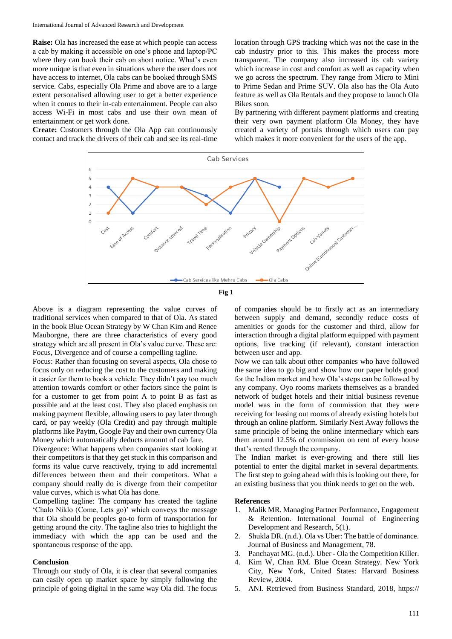**Raise:** Ola has increased the ease at which people can access a cab by making it accessible on one's phone and laptop/PC where they can book their cab on short notice. What's even more unique is that even in situations where the user does not have access to internet, Ola cabs can be booked through SMS service. Cabs, especially Ola Prime and above are to a large extent personalised allowing user to get a better experience when it comes to their in-cab entertainment. People can also access Wi-Fi in most cabs and use their own mean of entertainment or get work done.

**Create:** Customers through the Ola App can continuously contact and track the drivers of their cab and see its real-time

location through GPS tracking which was not the case in the cab industry prior to this. This makes the process more transparent. The company also increased its cab variety which increase in cost and comfort as well as capacity when we go across the spectrum. They range from Micro to Mini to Prime Sedan and Prime SUV. Ola also has the Ola Auto feature as well as Ola Rentals and they propose to launch Ola Bikes soon.

By partnering with different payment platforms and creating their very own payment platform Ola Money, they have created a variety of portals through which users can pay which makes it more convenient for the users of the app.





Above is a diagram representing the value curves of traditional services when compared to that of Ola. As stated in the book Blue Ocean Strategy by W Chan Kim and Renee Mauborgne, there are three characteristics of every good strategy which are all present in Ola's value curve. These are: Focus, Divergence and of course a compelling tagline.

Focus: Rather than focusing on several aspects, Ola chose to focus only on reducing the cost to the customers and making it easier for them to book a vehicle. They didn't pay too much attention towards comfort or other factors since the point is for a customer to get from point A to point B as fast as possible and at the least cost. They also placed emphasis on making payment flexible, allowing users to pay later through card, or pay weekly (Ola Credit) and pay through multiple platforms like Paytm, Google Pay and their own currency Ola Money which automatically deducts amount of cab fare.

Divergence: What happens when companies start looking at their competitors is that they get stuck in this comparison and forms its value curve reactively, trying to add incremental differences between them and their competitors. What a company should really do is diverge from their competitor value curves, which is what Ola has done.

Compelling tagline: The company has created the tagline 'Chalo Niklo (Come, Lets go)' which conveys the message that Ola should be peoples go-to form of transportation for getting around the city. The tagline also tries to highlight the immediacy with which the app can be used and the spontaneous response of the app.

## **Conclusion**

Through our study of Ola, it is clear that several companies can easily open up market space by simply following the principle of going digital in the same way Ola did. The focus of companies should be to firstly act as an intermediary between supply and demand, secondly reduce costs of amenities or goods for the customer and third, allow for interaction through a digital platform equipped with payment options, live tracking (if relevant), constant interaction between user and app.

Now we can talk about other companies who have followed the same idea to go big and show how our paper holds good for the Indian market and how Ola's steps can be followed by any company. Oyo rooms markets themselves as a branded network of budget hotels and their initial business revenue model was in the form of commission that they were receiving for leasing out rooms of already existing hotels but through an online platform. Similarly Nest Away follows the same principle of being the online intermediary which ears them around 12.5% of commission on rent of every house that's rented through the company.

The Indian market is ever-growing and there still lies potential to enter the digital market in several departments. The first step to going ahead with this is looking out there, for an existing business that you think needs to get on the web.

#### **References**

- 1. Malik MR. Managing Partner Performance, Engagement & Retention. International Journal of Engineering Development and Research, 5(1).
- 2. Shukla DR. (n.d.). Ola vs Uber: The battle of dominance. Journal of Business and Management, 78.
- 3. Panchayat MG. (n.d.). Uber Ola the Competition Killer.
- 4. Kim W, Chan RM. Blue Ocean Strategy. New York City, New York, United States: Harvard Business Review, 2004.
- 5. ANI. Retrieved from Business Standard, 2018, https://